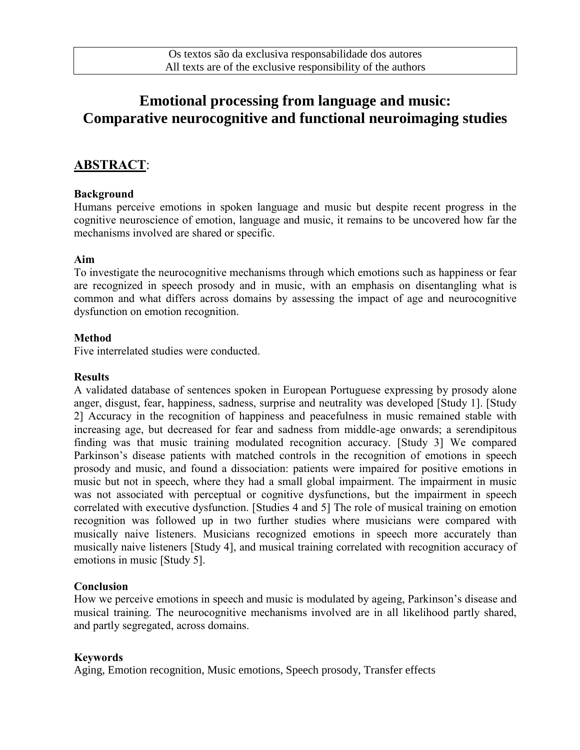# **Emotional processing from language and music: Comparative neurocognitive and functional neuroimaging studies**

### **ABSTRACT**:

#### **Background**

Humans perceive emotions in spoken language and music but despite recent progress in the cognitive neuroscience of emotion, language and music, it remains to be uncovered how far the mechanisms involved are shared or specific.

#### **Aim**

To investigate the neurocognitive mechanisms through which emotions such as happiness or fear are recognized in speech prosody and in music, with an emphasis on disentangling what is common and what differs across domains by assessing the impact of age and neurocognitive dysfunction on emotion recognition.

#### **Method**

Five interrelated studies were conducted.

#### **Results**

A validated database of sentences spoken in European Portuguese expressing by prosody alone anger, disgust, fear, happiness, sadness, surprise and neutrality was developed [Study 1]. [Study 2] Accuracy in the recognition of happiness and peacefulness in music remained stable with increasing age, but decreased for fear and sadness from middle-age onwards; a serendipitous finding was that music training modulated recognition accuracy. [Study 3] We compared Parkinson's disease patients with matched controls in the recognition of emotions in speech prosody and music, and found a dissociation: patients were impaired for positive emotions in music but not in speech, where they had a small global impairment. The impairment in music was not associated with perceptual or cognitive dysfunctions, but the impairment in speech correlated with executive dysfunction. [Studies 4 and 5] The role of musical training on emotion recognition was followed up in two further studies where musicians were compared with musically naive listeners. Musicians recognized emotions in speech more accurately than musically naive listeners [Study 4], and musical training correlated with recognition accuracy of emotions in music [Study 5].

#### **Conclusion**

How we perceive emotions in speech and music is modulated by ageing, Parkinson's disease and musical training. The neurocognitive mechanisms involved are in all likelihood partly shared, and partly segregated, across domains.

#### **Keywords**

Aging, Emotion recognition, Music emotions, Speech prosody, Transfer effects